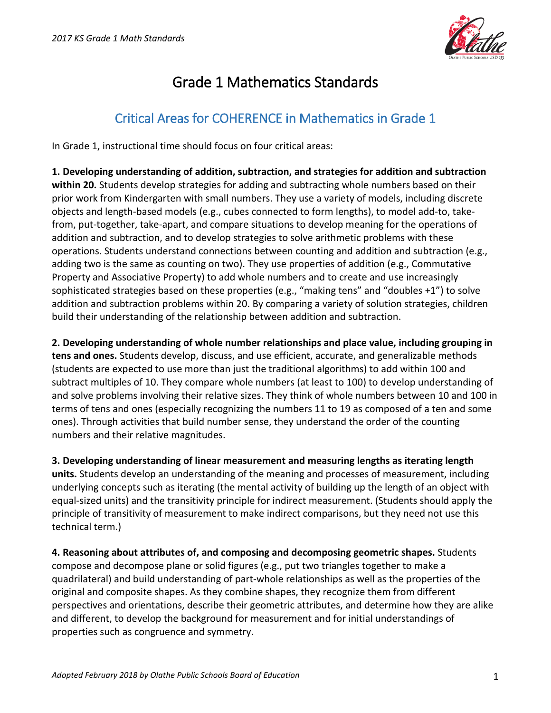

# Grade 1 Mathematics Standards

## Critical Areas for COHERENCE in Mathematics in Grade 1

In Grade 1, instructional time should focus on four critical areas:

**1. Developing understanding of addition, subtraction, and strategies for addition and subtraction within 20.** Students develop strategies for adding and subtracting whole numbers based on their prior work from Kindergarten with small numbers. They use a variety of models, including discrete objects and length-based models (e.g., cubes connected to form lengths), to model add-to, takefrom, put-together, take-apart, and compare situations to develop meaning for the operations of addition and subtraction, and to develop strategies to solve arithmetic problems with these operations. Students understand connections between counting and addition and subtraction (e.g., adding two is the same as counting on two). They use properties of addition (e.g., Commutative Property and Associative Property) to add whole numbers and to create and use increasingly sophisticated strategies based on these properties (e.g., "making tens" and "doubles +1") to solve addition and subtraction problems within 20. By comparing a variety of solution strategies, children build their understanding of the relationship between addition and subtraction.

**2. Developing understanding of whole number relationships and place value, including grouping in tens and ones.** Students develop, discuss, and use efficient, accurate, and generalizable methods (students are expected to use more than just the traditional algorithms) to add within 100 and subtract multiples of 10. They compare whole numbers (at least to 100) to develop understanding of and solve problems involving their relative sizes. They think of whole numbers between 10 and 100 in terms of tens and ones (especially recognizing the numbers 11 to 19 as composed of a ten and some ones). Through activities that build number sense, they understand the order of the counting numbers and their relative magnitudes.

**3. Developing understanding of linear measurement and measuring lengths as iterating length units.** Students develop an understanding of the meaning and processes of measurement, including underlying concepts such as iterating (the mental activity of building up the length of an object with equal-sized units) and the transitivity principle for indirect measurement. (Students should apply the principle of transitivity of measurement to make indirect comparisons, but they need not use this technical term.)

**4. Reasoning about attributes of, and composing and decomposing geometric shapes.** Students compose and decompose plane or solid figures (e.g., put two triangles together to make a quadrilateral) and build understanding of part-whole relationships as well as the properties of the original and composite shapes. As they combine shapes, they recognize them from different perspectives and orientations, describe their geometric attributes, and determine how they are alike and different, to develop the background for measurement and for initial understandings of properties such as congruence and symmetry.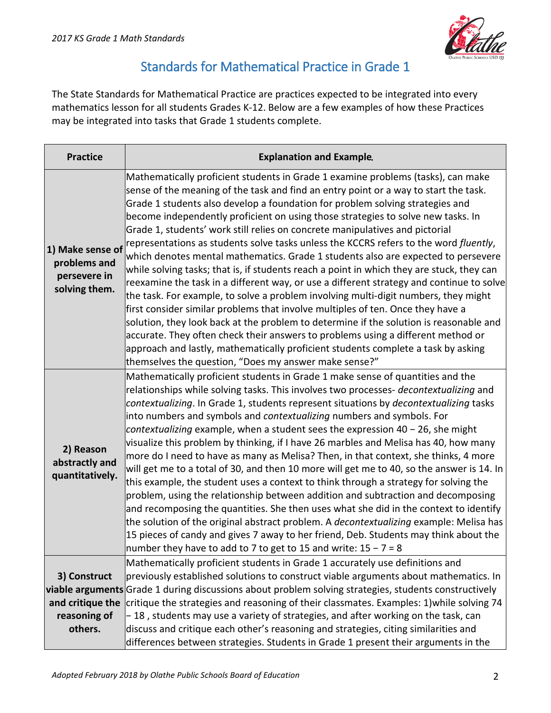

## Standards for Mathematical Practice in Grade 1

The State Standards for Mathematical Practice are practices expected to be integrated into every mathematics lesson for all students Grades K-12. Below are a few examples of how these Practices may be integrated into tasks that Grade 1 students complete.

| <b>Practice</b>                                                   | <b>Explanation and Example.</b>                                                                                                                                                                                                                                                                                                                                                                                                                                                                                                                                                                                                                                                                                                                                                                                                                                                                                                                                                                                                                                                                                                                                                                                                                                                                            |
|-------------------------------------------------------------------|------------------------------------------------------------------------------------------------------------------------------------------------------------------------------------------------------------------------------------------------------------------------------------------------------------------------------------------------------------------------------------------------------------------------------------------------------------------------------------------------------------------------------------------------------------------------------------------------------------------------------------------------------------------------------------------------------------------------------------------------------------------------------------------------------------------------------------------------------------------------------------------------------------------------------------------------------------------------------------------------------------------------------------------------------------------------------------------------------------------------------------------------------------------------------------------------------------------------------------------------------------------------------------------------------------|
| 1) Make sense of<br>problems and<br>persevere in<br>solving them. | Mathematically proficient students in Grade 1 examine problems (tasks), can make<br>sense of the meaning of the task and find an entry point or a way to start the task.<br>Grade 1 students also develop a foundation for problem solving strategies and<br>become independently proficient on using those strategies to solve new tasks. In<br>Grade 1, students' work still relies on concrete manipulatives and pictorial<br>representations as students solve tasks unless the KCCRS refers to the word fluently,<br>which denotes mental mathematics. Grade 1 students also are expected to persevere<br>while solving tasks; that is, if students reach a point in which they are stuck, they can<br>reexamine the task in a different way, or use a different strategy and continue to solve<br>the task. For example, to solve a problem involving multi-digit numbers, they might<br>first consider similar problems that involve multiples of ten. Once they have a<br>solution, they look back at the problem to determine if the solution is reasonable and<br>accurate. They often check their answers to problems using a different method or<br>approach and lastly, mathematically proficient students complete a task by asking<br>themselves the question, "Does my answer make sense?" |
| 2) Reason<br>abstractly and<br>quantitatively.                    | Mathematically proficient students in Grade 1 make sense of quantities and the<br>relationships while solving tasks. This involves two processes- decontextualizing and<br>contextualizing. In Grade 1, students represent situations by decontextualizing tasks<br>into numbers and symbols and contextualizing numbers and symbols. For<br>contextualizing example, when a student sees the expression 40 - 26, she might<br>visualize this problem by thinking, if I have 26 marbles and Melisa has 40, how many<br>more do I need to have as many as Melisa? Then, in that context, she thinks, 4 more<br>will get me to a total of 30, and then 10 more will get me to 40, so the answer is 14. In<br>this example, the student uses a context to think through a strategy for solving the<br>problem, using the relationship between addition and subtraction and decomposing<br>and recomposing the quantities. She then uses what she did in the context to identify<br>the solution of the original abstract problem. A <i>decontextualizing</i> example: Melisa has<br>15 pieces of candy and gives 7 away to her friend, Deb. Students may think about the<br>number they have to add to 7 to get to 15 and write: $15 - 7 = 8$                                                                 |
| 3) Construct                                                      | Mathematically proficient students in Grade 1 accurately use definitions and<br>previously established solutions to construct viable arguments about mathematics. In                                                                                                                                                                                                                                                                                                                                                                                                                                                                                                                                                                                                                                                                                                                                                                                                                                                                                                                                                                                                                                                                                                                                       |
|                                                                   | viable arguments Grade 1 during discussions about problem solving strategies, students constructively                                                                                                                                                                                                                                                                                                                                                                                                                                                                                                                                                                                                                                                                                                                                                                                                                                                                                                                                                                                                                                                                                                                                                                                                      |
| and critique the                                                  | critique the strategies and reasoning of their classmates. Examples: 1) while solving 74                                                                                                                                                                                                                                                                                                                                                                                                                                                                                                                                                                                                                                                                                                                                                                                                                                                                                                                                                                                                                                                                                                                                                                                                                   |
| reasoning of                                                      | -18, students may use a variety of strategies, and after working on the task, can                                                                                                                                                                                                                                                                                                                                                                                                                                                                                                                                                                                                                                                                                                                                                                                                                                                                                                                                                                                                                                                                                                                                                                                                                          |
| others.                                                           | discuss and critique each other's reasoning and strategies, citing similarities and                                                                                                                                                                                                                                                                                                                                                                                                                                                                                                                                                                                                                                                                                                                                                                                                                                                                                                                                                                                                                                                                                                                                                                                                                        |
|                                                                   | differences between strategies. Students in Grade 1 present their arguments in the                                                                                                                                                                                                                                                                                                                                                                                                                                                                                                                                                                                                                                                                                                                                                                                                                                                                                                                                                                                                                                                                                                                                                                                                                         |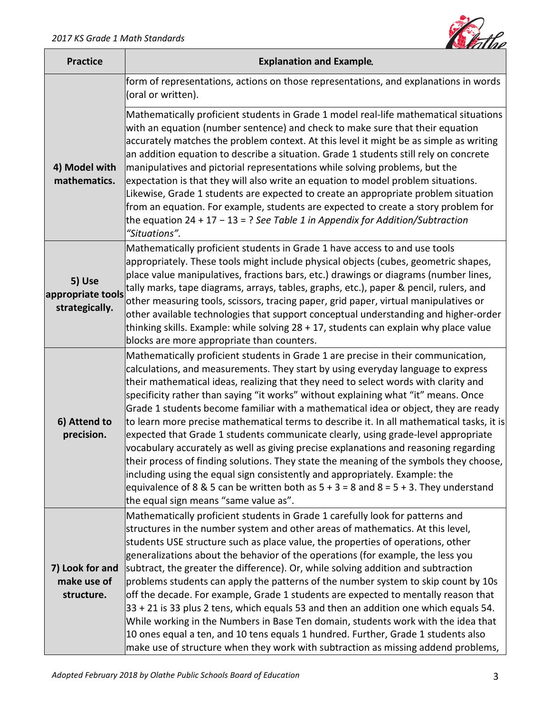

| <b>Practice</b>                               | <b>Explanation and Example.</b>                                                                                                                                                                                                                                                                                                                                                                                                                                                                                                                                                                                                                                                                                                                                                                                                                                                                                                                                                                                                    |
|-----------------------------------------------|------------------------------------------------------------------------------------------------------------------------------------------------------------------------------------------------------------------------------------------------------------------------------------------------------------------------------------------------------------------------------------------------------------------------------------------------------------------------------------------------------------------------------------------------------------------------------------------------------------------------------------------------------------------------------------------------------------------------------------------------------------------------------------------------------------------------------------------------------------------------------------------------------------------------------------------------------------------------------------------------------------------------------------|
|                                               | form of representations, actions on those representations, and explanations in words<br>(oral or written).                                                                                                                                                                                                                                                                                                                                                                                                                                                                                                                                                                                                                                                                                                                                                                                                                                                                                                                         |
| 4) Model with<br>mathematics.                 | Mathematically proficient students in Grade 1 model real-life mathematical situations<br>with an equation (number sentence) and check to make sure that their equation<br>accurately matches the problem context. At this level it might be as simple as writing<br>an addition equation to describe a situation. Grade 1 students still rely on concrete<br>manipulatives and pictorial representations while solving problems, but the<br>expectation is that they will also write an equation to model problem situations.<br>Likewise, Grade 1 students are expected to create an appropriate problem situation<br>from an equation. For example, students are expected to create a story problem for<br>the equation 24 + 17 - 13 = ? See Table 1 in Appendix for Addition/Subtraction<br>"Situations".                                                                                                                                                                                                                       |
| 5) Use<br>appropriate tools<br>strategically. | Mathematically proficient students in Grade 1 have access to and use tools<br>appropriately. These tools might include physical objects (cubes, geometric shapes,<br>place value manipulatives, fractions bars, etc.) drawings or diagrams (number lines,<br>tally marks, tape diagrams, arrays, tables, graphs, etc.), paper & pencil, rulers, and<br>other measuring tools, scissors, tracing paper, grid paper, virtual manipulatives or<br>other available technologies that support conceptual understanding and higher-order<br>thinking skills. Example: while solving 28 + 17, students can explain why place value<br>blocks are more appropriate than counters.                                                                                                                                                                                                                                                                                                                                                          |
| 6) Attend to<br>precision.                    | Mathematically proficient students in Grade 1 are precise in their communication,<br>calculations, and measurements. They start by using everyday language to express<br>their mathematical ideas, realizing that they need to select words with clarity and<br>specificity rather than saying "it works" without explaining what "it" means. Once<br>Grade 1 students become familiar with a mathematical idea or object, they are ready<br>to learn more precise mathematical terms to describe it. In all mathematical tasks, it is<br>expected that Grade 1 students communicate clearly, using grade-level appropriate<br>vocabulary accurately as well as giving precise explanations and reasoning regarding<br>their process of finding solutions. They state the meaning of the symbols they choose,<br>including using the equal sign consistently and appropriately. Example: the<br>equivalence of 8 & 5 can be written both as $5 + 3 = 8$ and $8 = 5 + 3$ . They understand<br>the equal sign means "same value as". |
| 7) Look for and<br>make use of<br>structure.  | Mathematically proficient students in Grade 1 carefully look for patterns and<br>structures in the number system and other areas of mathematics. At this level,<br>students USE structure such as place value, the properties of operations, other<br>generalizations about the behavior of the operations (for example, the less you<br>subtract, the greater the difference). Or, while solving addition and subtraction<br>problems students can apply the patterns of the number system to skip count by 10s<br>off the decade. For example, Grade 1 students are expected to mentally reason that<br>$33 + 21$ is 33 plus 2 tens, which equals 53 and then an addition one which equals 54.<br>While working in the Numbers in Base Ten domain, students work with the idea that<br>10 ones equal a ten, and 10 tens equals 1 hundred. Further, Grade 1 students also<br>make use of structure when they work with subtraction as missing addend problems,                                                                    |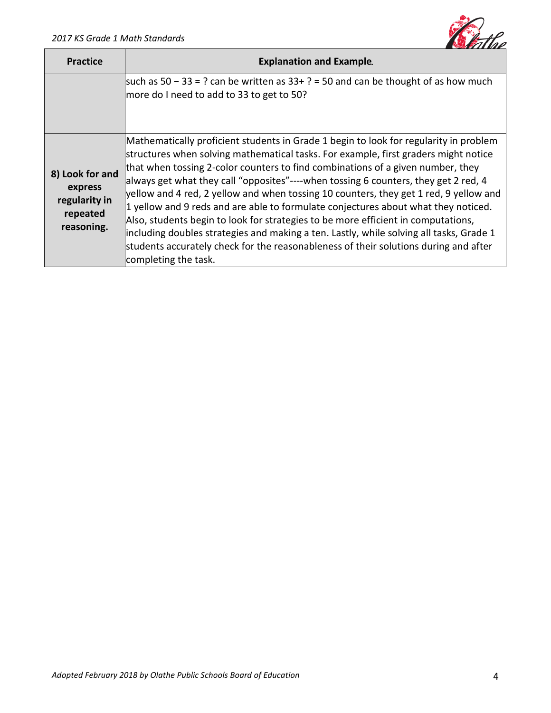

| <b>Practice</b>                                                       | <b>Explanation and Example.</b>                                                                                                                                                                                                                                                                                                                                                                                                                                                                                                                                                                                                                                                                                                                                                                                                        |
|-----------------------------------------------------------------------|----------------------------------------------------------------------------------------------------------------------------------------------------------------------------------------------------------------------------------------------------------------------------------------------------------------------------------------------------------------------------------------------------------------------------------------------------------------------------------------------------------------------------------------------------------------------------------------------------------------------------------------------------------------------------------------------------------------------------------------------------------------------------------------------------------------------------------------|
|                                                                       | such as $50 - 33 = ?$ can be written as $33 + ? = 50$ and can be thought of as how much<br>more do I need to add to 33 to get to 50?                                                                                                                                                                                                                                                                                                                                                                                                                                                                                                                                                                                                                                                                                                   |
| 8) Look for and<br>express<br>regularity in<br>repeated<br>reasoning. | Mathematically proficient students in Grade 1 begin to look for regularity in problem<br>structures when solving mathematical tasks. For example, first graders might notice<br>that when tossing 2-color counters to find combinations of a given number, they<br>always get what they call "opposites"----when tossing 6 counters, they get 2 red, 4<br>yellow and 4 red, 2 yellow and when tossing 10 counters, they get 1 red, 9 yellow and<br>1 yellow and 9 reds and are able to formulate conjectures about what they noticed.<br>Also, students begin to look for strategies to be more efficient in computations,<br>lincluding doubles strategies and making a ten. Lastly, while solving all tasks, Grade 1<br>students accurately check for the reasonableness of their solutions during and after<br>completing the task. |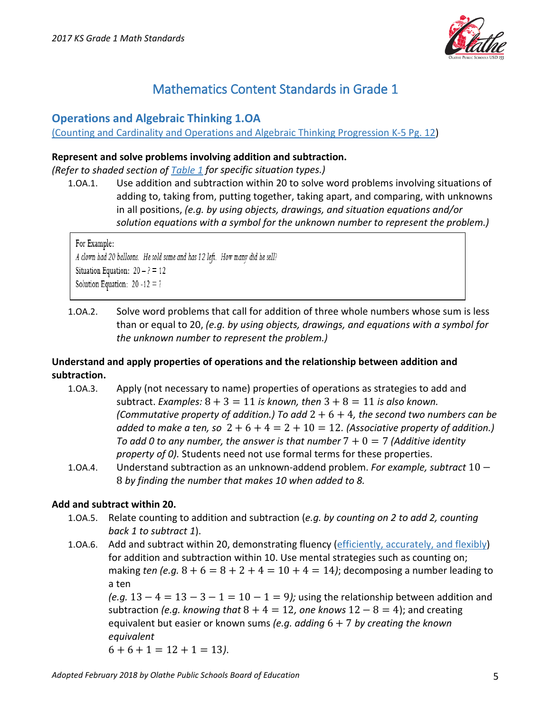

## Mathematics Content Standards in Grade 1

## **Operations and Algebraic Thinking 1.OA**

[\(Counting and Cardinality and Operations and Algebraic Thinking Progression K-5 Pg. 12\)](http://community.ksde.org/Portals/54/Documents/Standards/Standards_Review/Linked_Files/Counting_and_Cardinality_and_Operations_and_Algebraic_Thinking_Progression_K-5.pdf)

#### **Represent and solve problems involving addition and subtraction.**

*(Refer to shaded section of [Table 1](http://community.ksde.org/Portals/54/Documents/Standards/Standards%20Review/Linked%20Files/All%20Tables%20Combined.pdf#Table%201) for specific situation types.)*

1.OA.1. Use addition and subtraction within 20 to solve word problems involving situations of adding to, taking from, putting together, taking apart, and comparing, with unknowns in all positions, *(e.g. by using objects, drawings, and situation equations and/or solution equations with a symbol for the unknown number to represent the problem.)*

For Example: A clown had 20 balloons. He sold some and has 12 left. How many did he sell? Situation Equation:  $20 - ? = 12$ Solution Equation:  $20 - 12 = ?$ 

1.OA.2. Solve word problems that call for addition of three whole numbers whose sum is less than or equal to 20, *(e.g. by using objects, drawings, and equations with a symbol for the unknown number to represent the problem.)*

## **Understand and apply properties of operations and the relationship between addition and subtraction.**

- 1.OA.3. Apply (not necessary to name) properties of operations as strategies to add and subtract. *Examples:*  $8 + 3 = 11$  *is known, then*  $3 + 8 = 11$  *is also known. (Commutative property of addition.) To add* 2 + 6 + 4*, the second two numbers can be added to make a ten, so*  $2 + 6 + 4 = 2 + 10 = 12$ . (Associative property of addition.) To add 0 to any number, the answer is that number  $7 + 0 = 7$  (Additive identity *property of 0).* Students need not use formal terms for these properties.
- 1.OA.4. Understand subtraction as an unknown-addend problem. *For example, subtract* 10 − 8 *by finding the number that makes 10 when added to 8.*

## **Add and subtract within 20.**

- 1.OA.5. Relate counting to addition and subtraction (*e.g. by counting on 2 to add 2, counting back 1 to subtract 1*).
- 1.0A.6. Add and subtract within 20, demonstrating fluency [\(efficiently, accurately, and flexibly\)](http://community.ksde.org/Portals/54/Documents/Standards/Standards_Review/Linked_Files/FLUENCY_IS_MORE_THAN_MERE_SPEED.pdf) for addition and subtraction within 10. Use mental strategies such as counting on; making *ten (e.g.*  $8 + 6 = 8 + 2 + 4 = 10 + 4 = 14$ ); decomposing a number leading to a ten

*(e.g.*  $13 - 4 = 13 - 3 - 1 = 10 - 1 = 9$ *);* using the relationship between addition and subtraction *(e.g. knowing that*  $8 + 4 = 12$ *, one knows*  $12 - 8 = 4$ ); and creating equivalent but easier or known sums *(e.g. adding* 6 + 7 *by creating the known equivalent* 

 $6 + 6 + 1 = 12 + 1 = 13$ .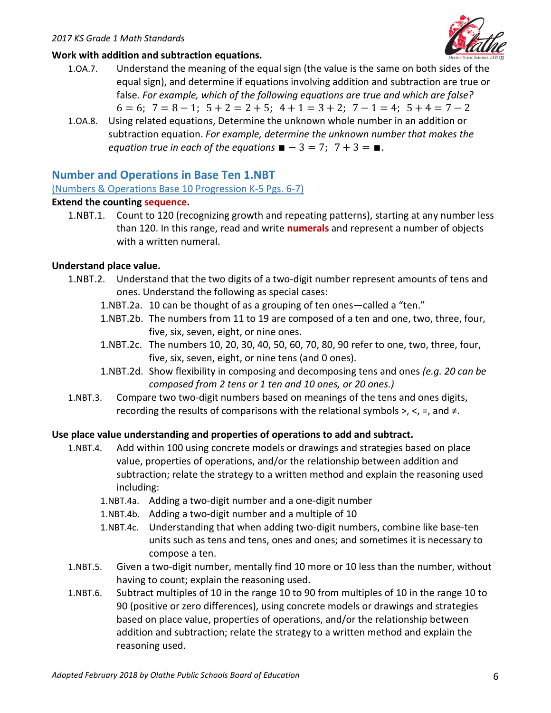

### **Work with addition and subtraction equations.**

- 1.OA.7. Understand the meaning of the equal sign (the value is the same on both sides of the equal sign), and determine if equations involving addition and subtraction are true or false. *For example, which of the following equations are true and which are false?*  $6 = 6$ ;  $7 = 8 - 1$ ;  $5 + 2 = 2 + 5$ ;  $4 + 1 = 3 + 2$ ;  $7 - 1 = 4$ ;  $5 + 4 = 7 - 2$
- 1.OA.8. Using related equations, Determine the unknown whole number in an addition or subtraction equation. *For example, determine the unknown number that makes the equation true in each of the equations*  $\blacksquare - 3 = 7$ ;  $7 + 3 = \blacksquare$ .

## **Number and Operations in Base Ten 1.NBT**

[\(Numbers & Operations Base 10 Progression K-](http://commoncoretools.me/wp-content/uploads/2015/03/ccss_progression_nbp_k5_2015_03_16.pdf)5 Pgs. 6-7)

#### **Extend the counting sequence.**

1.NBT.1. Count to 120 (recognizing growth and repeating patterns), starting at any number less than 120. In this range, read and write **numerals** and represent a number of objects with a written numeral.

#### **Understand place value.**

- 1.NBT.2. Understand that the two digits of a two-digit number represent amounts of tens and ones. Understand the following as special cases:
	- 1.NBT.2a. 10 can be thought of as a grouping of ten ones—called a "ten."
	- 1.NBT.2b. The numbers from 11 to 19 are composed of a ten and one, two, three, four, five, six, seven, eight, or nine ones.
	- 1.NBT.2c. The numbers 10, 20, 30, 40, 50, 60, 70, 80, 90 refer to one, two, three, four, five, six, seven, eight, or nine tens (and 0 ones).
	- 1.NBT.2d. Show flexibility in composing and decomposing tens and ones *(e.g. 20 can be composed from 2 tens or 1 ten and 10 ones, or 20 ones.)*
- 1.NBT.3. Compare two two-digit numbers based on meanings of the tens and ones digits, recording the results of comparisons with the relational symbols >, <, =, and  $\neq$ .

## **Use place value understanding and properties of operations to add and subtract.**

- 1.NBT.4. Add within 100 using concrete models or drawings and strategies based on place value, properties of operations, and/or the relationship between addition and subtraction; relate the strategy to a written method and explain the reasoning used including:
	- 1.NBT.4a. Adding a two-digit number and a one-digit number
	- 1.NBT.4b. Adding a two-digit number and a multiple of 10
	- 1.NBT.4c. Understanding that when adding two-digit numbers, combine like base-ten units such as tens and tens, ones and ones; and sometimes it is necessary to compose a ten.
- 1.NBT.5. Given a two-digit number, mentally find 10 more or 10 less than the number, without having to count; explain the reasoning used.
- 1.NBT.6. Subtract multiples of 10 in the range 10 to 90 from multiples of 10 in the range 10 to 90 (positive or zero differences), using concrete models or drawings and strategies based on place value, properties of operations, and/or the relationship between addition and subtraction; relate the strategy to a written method and explain the reasoning used.